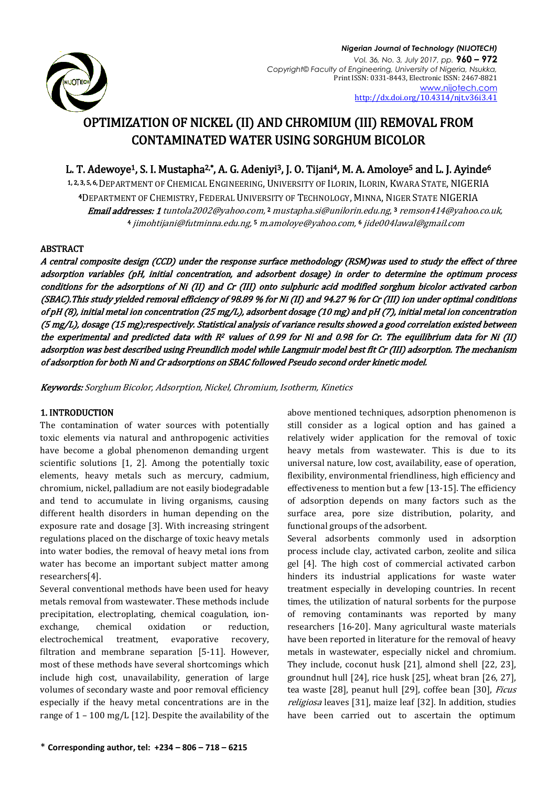

# OPTIMIZATION OF NICKEL (II) AND CHROMIUM (III) REMOVAL FROM CONTAMINATED WATER USING SORGHUM BICOLOR

## L. T. Adewoye<sup>1</sup>, S. I. Mustapha<sup>2,\*</sup>, A. G. Adeniyi<sup>3</sup>, J. O. Tijani<sup>4</sup>, M. A. Amoloye<sup>5</sup> and L. J. Ayinde<sup>6</sup>

1, 2, 3, 5, 6, DEPARTMENT OF CHEMICAL ENGINEERING, UNIVERSITY OF ILORIN, ILORIN, KWARA STATE, NIGERIA <sup>4</sup>DEPARTMENT OF CHEMISTRY, FEDERAL UNIVERSITY OF TECHNOLOGY, MINNA, NIGER STATE NIGERIA **Email addresses: 1** tuntola2002@yahoo.com, <sup>2</sup> [mustapha.si@unilorin.edu.ng](mailto:mustapha.si@unilorin.edu.ng), <sup>3</sup> [remson414@yahoo.co.uk,](mailto:remson414@yahoo.co.uk) <sup>4</sup> [jimohtijani@futminna.edu.ng,](mailto:jimohtijani@futminna.edu.ng)  <sup>5</sup> [m.amoloye@yahoo.com,](mailto:m.amoloye@yahoo.com) <sup>6</sup> jide004lawal@gmail.com

## ABSTRACT

A central composite design (CCD) under the response surface methodology (RSM)was used to study the effect of three adsorption variables (pH, initial concentration, and adsorbent dosage) in order to determine the optimum process conditions for the adsorptions of Ni (II) and Cr (III) onto sulphuric acid modified sorghum bicolor activated carbon (SBAC).This study yielded removal efficiency of 98.89 % for Ni (II) and 94.27 % for Cr (III) ion under optimal conditions of pH (8), initial metal ion concentration (25 mg/L), adsorbent dosage (10 mg) and pH (7), initial metal ion concentration (5 mg/L), dosage (15 mg);respectively. Statistical analysis of variance results showed a good correlation existed between the experimental and predicted data with  $R^2$  values of 0.99 for Ni and 0.98 for Cr. The equilibrium data for Ni (II) adsorption was best described using Freundlich model while Langmuir model best fit Cr (III) adsorption. The mechanism of adsorption for both Ni and Cr adsorptions on SBAC followed Pseudo second order kinetic model.

Keywords: Sorghum Bicolor, Adsorption, Nickel, Chromium, Isotherm, Kinetics

## 1. INTRODUCTION

The contamination of water sources with potentially toxic elements via natural and anthropogenic activities have become a global phenomenon demanding urgent scientific solutions [1, 2]. Among the potentially toxic elements, heavy metals such as mercury, cadmium, chromium, nickel, palladium are not easily biodegradable and tend to accumulate in living organisms, causing different health disorders in human depending on the exposure rate and dosage [3]. With increasing stringent regulations placed on the discharge of toxic heavy metals into water bodies, the removal of heavy metal ions from water has become an important subject matter among researchers[4].

Several conventional methods have been used for heavy metals removal from wastewater. These methods include precipitation, electroplating, chemical coagulation, ionexchange, chemical oxidation or reduction, electrochemical treatment, evaporative recovery, filtration and membrane separation [5-11]. However, most of these methods have several shortcomings which include high cost, unavailability, generation of large volumes of secondary waste and poor removal efficiency especially if the heavy metal concentrations are in the range of 1 – 100 mg/L [12]. Despite the availability of the above mentioned techniques, adsorption phenomenon is still consider as a logical option and has gained a relatively wider application for the removal of toxic heavy metals from wastewater. This is due to its universal nature, low cost, availability, ease of operation, flexibility, environmental friendliness, high efficiency and effectiveness to mention but a few [13-15]. The efficiency of adsorption depends on many factors such as the surface area, pore size distribution, polarity, and functional groups of the adsorbent.

Several adsorbents commonly used in adsorption process include clay, activated carbon, zeolite and silica gel [4]. The high cost of commercial activated carbon hinders its industrial applications for waste water treatment especially in developing countries. In recent times, the utilization of natural sorbents for the purpose of removing contaminants was reported by many researchers [16-20]. Many agricultural waste materials have been reported in literature for the removal of heavy metals in wastewater, especially nickel and chromium. They include, coconut husk [21], almond shell [22, 23], groundnut hull [24], rice husk [25], wheat bran [26, 27], tea waste [28], peanut hull [29], coffee bean [30], Ficus religiosa leaves [31], maize leaf [32]. In addition, studies have been carried out to ascertain the optimum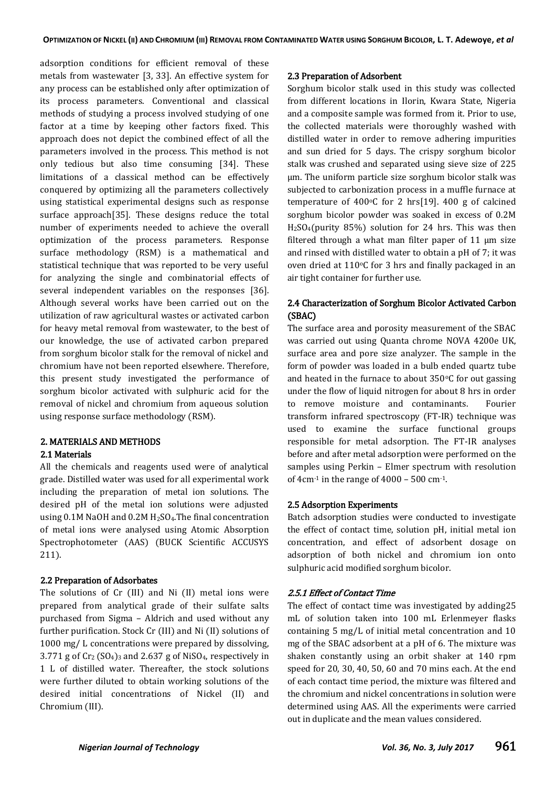adsorption conditions for efficient removal of these metals from wastewater [3, 33]. An effective system for any process can be established only after optimization of its process parameters. Conventional and classical methods of studying a process involved studying of one factor at a time by keeping other factors fixed. This approach does not depict the combined effect of all the parameters involved in the process. This method is not only tedious but also time consuming [34]. These limitations of a classical method can be effectively conquered by optimizing all the parameters collectively using statistical experimental designs such as response surface approach[35]. These designs reduce the total number of experiments needed to achieve the overall optimization of the process parameters. Response surface methodology (RSM) is a mathematical and statistical technique that was reported to be very useful for analyzing the single and combinatorial effects of several independent variables on the responses [36]. Although several works have been carried out on the utilization of raw agricultural wastes or activated carbon for heavy metal removal from wastewater, to the best of our knowledge, the use of activated carbon prepared from sorghum bicolor stalk for the removal of nickel and chromium have not been reported elsewhere. Therefore, this present study investigated the performance of sorghum bicolor activated with sulphuric acid for the removal of nickel and chromium from aqueous solution using response surface methodology (RSM).

#### 2. MATERIALS AND METHODS 2.1 Materials

All the chemicals and reagents used were of analytical grade. Distilled water was used for all experimental work including the preparation of metal ion solutions. The desired pH of the metal ion solutions were adjusted using 0.1M NaOH and 0.2M H<sub>2</sub>SO<sub>4</sub>. The final concentration of metal ions were analysed using Atomic Absorption Spectrophotometer (AAS) (BUCK Scientific ACCUSYS 211).

#### 2.2 Preparation of Adsorbates

The solutions of Cr (III) and Ni (II) metal ions were prepared from analytical grade of their sulfate salts purchased from Sigma – Aldrich and used without any further purification. Stock Cr (III) and Ni (II) solutions of 1000 mg/ L concentrations were prepared by dissolving, 3.771 g of  $Cr_2(SO_4)$ <sub>3</sub> and 2.637 g of NiSO<sub>4</sub>, respectively in 1 L of distilled water. Thereafter, the stock solutions were further diluted to obtain working solutions of the desired initial concentrations of Nickel (II) and Chromium (III).

#### 2.3 Preparation of Adsorbent

Sorghum bicolor stalk used in this study was collected from different locations in Ilorin, Kwara State, Nigeria and a composite sample was formed from it. Prior to use, the collected materials were thoroughly washed with distilled water in order to remove adhering impurities and sun dried for 5 days. The crispy sorghum bicolor stalk was crushed and separated using sieve size of 225 µm. The uniform particle size sorghum bicolor stalk was subjected to carbonization process in a muffle furnace at temperature of 400 $\degree$ C for 2 hrs $[19]$ . 400 g of calcined sorghum bicolor powder was soaked in excess of 0.2M  $H<sub>2</sub>SO<sub>4</sub>(purity 85%) solution for 24 hrs. This was then$ filtered through a what man filter paper of  $11 \mu m$  size and rinsed with distilled water to obtain a pH of 7; it was oven dried at  $110^{\circ}$ C for 3 hrs and finally packaged in an air tight container for further use.

## 2.4 Characterization of Sorghum Bicolor Activated Carbon (SBAC)

The surface area and porosity measurement of the SBAC was carried out using Quanta chrome NOVA 4200e UK, surface area and pore size analyzer. The sample in the form of powder was loaded in a bulb ended quartz tube and heated in the furnace to about  $350^{\circ}$ C for out gassing under the flow of liquid nitrogen for about 8 hrs in order to remove moisture and contaminants. Fourier transform infrared spectroscopy (FT-IR) technique was used to examine the surface functional groups responsible for metal adsorption. The FT-IR analyses before and after metal adsorption were performed on the samples using Perkin – Elmer spectrum with resolution of  $4 \text{cm}^{-1}$  in the range of  $4000 - 500 \text{cm}^{-1}$ .

#### 2.5 Adsorption Experiments

Batch adsorption studies were conducted to investigate the effect of contact time, solution pH, initial metal ion concentration, and effect of adsorbent dosage on adsorption of both nickel and chromium ion onto sulphuric acid modified sorghum bicolor.

#### 2.5.1 Effect of Contact Time

The effect of contact time was investigated by adding25 mL of solution taken into 100 mL Erlenmeyer flasks containing 5 mg/L of initial metal concentration and 10 mg of the SBAC adsorbent at a pH of 6. The mixture was shaken constantly using an orbit shaker at 140 rpm speed for 20, 30, 40, 50, 60 and 70 mins each. At the end of each contact time period, the mixture was filtered and the chromium and nickel concentrations in solution were determined using AAS. All the experiments were carried out in duplicate and the mean values considered.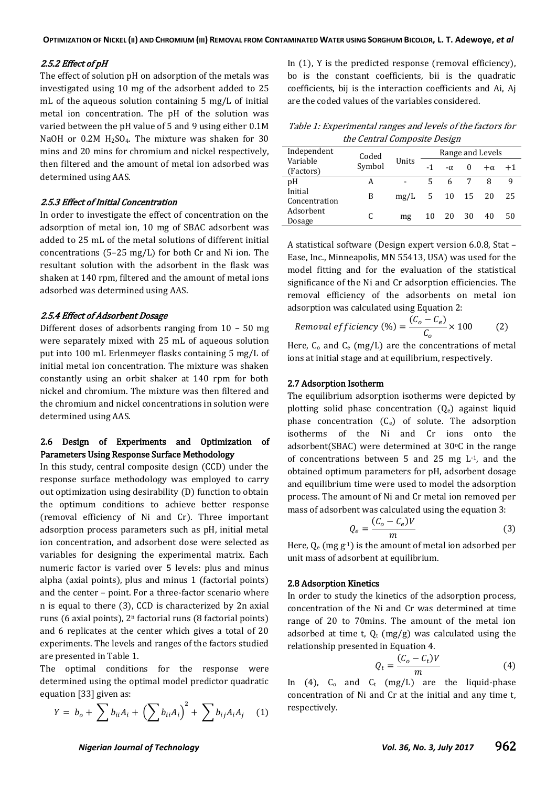#### 2.5.2 Effect of pH

The effect of solution pH on adsorption of the metals was investigated using 10 mg of the adsorbent added to 25 mL of the aqueous solution containing 5 mg/L of initial metal ion concentration. The pH of the solution was varied between the pH value of 5 and 9 using either 0.1M NaOH or  $0.2M$  H<sub>2</sub>SO<sub>4</sub>. The mixture was shaken for 30 mins and 20 mins for chromium and nickel respectively, then filtered and the amount of metal ion adsorbed was determined using AAS.

#### 2.5.3 Effect of Initial Concentration

In order to investigate the effect of concentration on the adsorption of metal ion, 10 mg of SBAC adsorbent was added to 25 mL of the metal solutions of different initial concentrations (5–25 mg/L) for both Cr and Ni ion. The resultant solution with the adsorbent in the flask was shaken at 140 rpm, filtered and the amount of metal ions adsorbed was determined using AAS.

#### 2.5.4 Effect of Adsorbent Dosage

Different doses of adsorbents ranging from 10 – 50 mg were separately mixed with 25 mL of aqueous solution put into 100 mL Erlenmeyer flasks containing 5 mg/L of initial metal ion concentration. The mixture was shaken constantly using an orbit shaker at 140 rpm for both nickel and chromium. The mixture was then filtered and the chromium and nickel concentrations in solution were determined using AAS.

### 2.6 Design of Experiments and Optimization of Parameters Using Response Surface Methodology

In this study, central composite design (CCD) under the response surface methodology was employed to carry out optimization using desirability (D) function to obtain the optimum conditions to achieve better response (removal efficiency of Ni and Cr). Three important adsorption process parameters such as pH, initial metal ion concentration, and adsorbent dose were selected as variables for designing the experimental matrix. Each numeric factor is varied over 5 levels: plus and minus alpha (axial points), plus and minus 1 (factorial points) and the center – point. For a three-factor scenario where n is equal to there (3), CCD is characterized by 2n axial runs (6 axial points), 2<sup>n</sup> factorial runs (8 factorial points) and 6 replicates at the center which gives a total of 20 experiments. The levels and ranges of the factors studied are presented in Table 1.

The optimal conditions for the response were determined using the optimal model predictor quadratic equation [33] given as:

$$
Y = b_o + \sum b_{ii} A_i + \left(\sum b_{ii} A_i\right)^2 + \sum b_{ij} A_i A_j \quad (1)
$$

In (1), Y is the predicted response (removal efficiency), bo is the constant coefficients, bii is the quadratic coefficients, bij is the interaction coefficients and Ai, Aj are the coded values of the variables considered.

Table 1: Experimental ranges and levels of the factors for the Central Composite Design

| Independent              | Coded  |       |    |           |          | Range and Levels |      |
|--------------------------|--------|-------|----|-----------|----------|------------------|------|
| Variable<br>(Factors)    | Symbol | Units | -1 | $-\alpha$ | $\theta$ | $+\alpha$        | $+1$ |
| pΗ                       | А      |       | 5  |           |          | 8                |      |
| Initial<br>Concentration | B      | mg/L  | 5  |           | 10 15 20 |                  | 25   |
| Adsorbent<br>Dosage      |        | mg    | 10 | 20        | 30       | 40               | 50   |

A statistical software (Design expert version 6.0.8, Stat – Ease, Inc., Minneapolis, MN 55413, USA) was used for the model fitting and for the evaluation of the statistical significance of the Ni and Cr adsorption efficiencies. The removal efficiency of the adsorbents on metal ion adsorption was calculated using Equation 2:

Removal *efficiency* (%) = 
$$
\frac{(C_o - C_e)}{C_o} \times 100
$$
 (2)

Here,  $C_0$  and  $C_e$  (mg/L) are the concentrations of metal ions at initial stage and at equilibrium, respectively.

## 2.7 Adsorption Isotherm

The equilibrium adsorption isotherms were depicted by plotting solid phase concentration  $(Q_e)$  against liquid phase concentration  $(C_e)$  of solute. The adsorption isotherms of the Ni and Cr ions onto the adsorbent(SBAC) were determined at  $30^{\circ}$ C in the range of concentrations between 5 and 25 mg L-1, and the obtained optimum parameters for pH, adsorbent dosage and equilibrium time were used to model the adsorption process. The amount of Ni and Cr metal ion removed per mass of adsorbent was calculated using the equation 3:

$$
Q_e = \frac{(C_o - C_e)V}{m} \tag{3}
$$

Here,  $Q_e$  (mg  $g^{-1}$ ) is the amount of metal ion adsorbed per unit mass of adsorbent at equilibrium.

#### 2.8 Adsorption Kinetics

In order to study the kinetics of the adsorption process, concentration of the Ni and Cr was determined at time range of 20 to 70mins. The amount of the metal ion adsorbed at time t,  $Q_t$  (mg/g) was calculated using the relationship presented in Equation 4.

$$
Q_t = \frac{(C_o - C_t)V}{m} \tag{4}
$$

In (4),  $C_0$  and  $C_t$  (mg/L) are the liquid-phase concentration of Ni and Cr at the initial and any time t, respectively.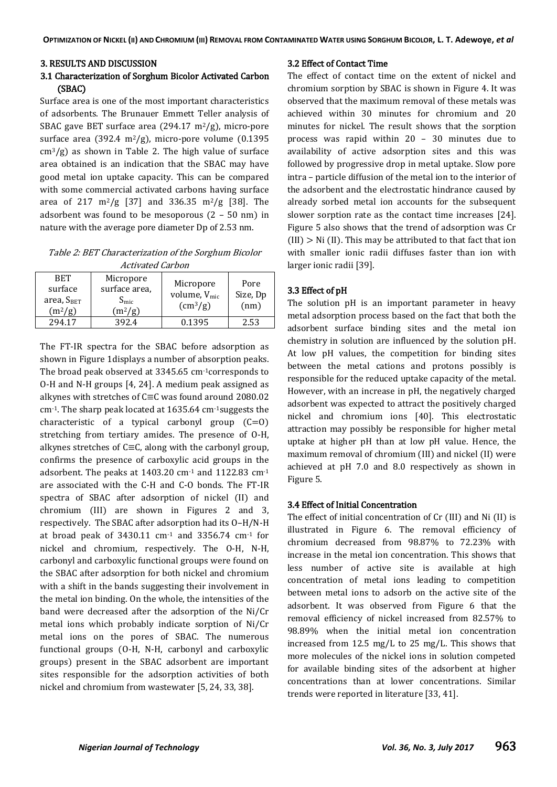#### 3. RESULTS AND DISCUSSION

## 3.1 Characterization of Sorghum Bicolor Activated Carbon (SBAC)

Surface area is one of the most important characteristics of adsorbents. The Brunauer Emmett Teller analysis of SBAC gave BET surface area (294.17  $\text{m}^2/\text{g}$ ), micro-pore surface area (392.4 m<sup>2</sup>/g), micro-pore volume (0.1395)  $\text{cm}^3/\text{g}$ ) as shown in Table 2. The high value of surface area obtained is an indication that the SBAC may have good metal ion uptake capacity. This can be compared with some commercial activated carbons having surface area of 217 m<sup>2</sup>/g [37] and 336.35 m<sup>2</sup>/g [38]. The adsorbent was found to be mesoporous (2 – 50 nm) in nature with the average pore diameter Dp of 2.53 nm.

Table 2: BET Characterization of the Sorghum Bicolor Activated Carbon

| <b>RET</b><br>surface<br>area, $S_{BET}$<br>$(m^2/g)$ | Micropore<br>surface area,<br>$S_{\rm mic}$<br>$(m^2/g)$ | Micropore<br>volume, $V_{\text{mic}}$<br>$\text{cm}^3\text{/g}$ | Pore<br>Size, Dp<br>(nm) |
|-------------------------------------------------------|----------------------------------------------------------|-----------------------------------------------------------------|--------------------------|
| 294 17                                                | 392.4                                                    | 0.1395                                                          | 2.53                     |

The FT-IR spectra for the SBAC before adsorption as shown in Figure 1displays a number of absorption peaks. The broad peak observed at 3345.65 cm-1corresponds to O-H and N-H groups [4, 24]. A medium peak assigned as alkynes with stretches of C≡C was found around 2080.02 cm-1. The sharp peak located at 1635.64 cm-1suggests the characteristic of a typical carbonyl group  $(C=0)$ stretching from tertiary amides. The presence of O-H, alkynes stretches of C≡C, along with the carbonyl group, confirms the presence of carboxylic acid groups in the adsorbent. The peaks at 1403.20 cm-1 and 1122.83 cm-1 are associated with the C-H and C-O bonds. The FT-IR spectra of SBAC after adsorption of nickel (II) and chromium (III) are shown in Figures 2 and 3, respectively. The SBAC after adsorption had its O–H/N-H at broad peak of 3430.11 cm-1 and 3356.74 cm-1 for nickel and chromium, respectively. The O-H, N-H, carbonyl and carboxylic functional groups were found on the SBAC after adsorption for both nickel and chromium with a shift in the bands suggesting their involvement in the metal ion binding. On the whole, the intensities of the band were decreased after the adsorption of the Ni/Cr metal ions which probably indicate sorption of Ni/Cr metal ions on the pores of SBAC. The numerous functional groups (O-H, N-H, carbonyl and carboxylic groups) present in the SBAC adsorbent are important sites responsible for the adsorption activities of both nickel and chromium from wastewater [5, 24, 33, 38].

#### 3.2 Effect of Contact Time

The effect of contact time on the extent of nickel and chromium sorption by SBAC is shown in Figure 4. It was observed that the maximum removal of these metals was achieved within 30 minutes for chromium and 20 minutes for nickel. The result shows that the sorption process was rapid within 20 – 30 minutes due to availability of active adsorption sites and this was followed by progressive drop in metal uptake. Slow pore intra – particle diffusion of the metal ion to the interior of the adsorbent and the electrostatic hindrance caused by already sorbed metal ion accounts for the subsequent slower sorption rate as the contact time increases [24]. Figure 5 also shows that the trend of adsorption was Cr  $(III)$  > Ni  $(II)$ . This may be attributed to that fact that ion with smaller ionic radii diffuses faster than ion with larger ionic radii [39].

#### 3.3 Effect of pH

The solution pH is an important parameter in heavy metal adsorption process based on the fact that both the adsorbent surface binding sites and the metal ion chemistry in solution are influenced by the solution pH. At low pH values, the competition for binding sites between the metal cations and protons possibly is responsible for the reduced uptake capacity of the metal. However, with an increase in pH, the negatively charged adsorbent was expected to attract the positively charged nickel and chromium ions [40]. This electrostatic attraction may possibly be responsible for higher metal uptake at higher pH than at low pH value. Hence, the maximum removal of chromium (III) and nickel (II) were achieved at pH 7.0 and 8.0 respectively as shown in Figure 5.

#### 3.4 Effect of Initial Concentration

The effect of initial concentration of Cr (III) and Ni (II) is illustrated in Figure 6. The removal efficiency of chromium decreased from 98.87% to 72.23% with increase in the metal ion concentration. This shows that less number of active site is available at high concentration of metal ions leading to competition between metal ions to adsorb on the active site of the adsorbent. It was observed from Figure 6 that the removal efficiency of nickel increased from 82.57% to 98.89% when the initial metal ion concentration increased from 12.5 mg/L to 25 mg/L. This shows that more molecules of the nickel ions in solution competed for available binding sites of the adsorbent at higher concentrations than at lower concentrations. Similar trends were reported in literature [33, 41].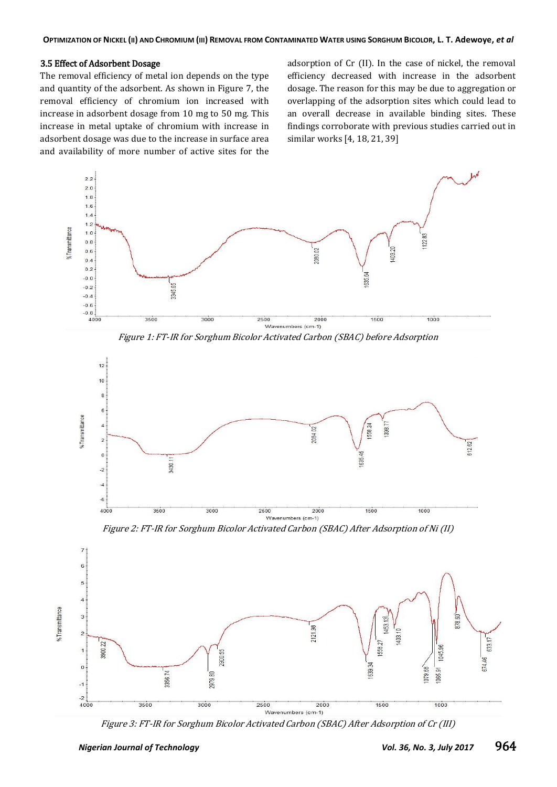#### 3.5 Effect of Adsorbent Dosage

The removal efficiency of metal ion depends on the type and quantity of the adsorbent. As shown in Figure 7, the removal efficiency of chromium ion increased with increase in adsorbent dosage from 10 mg to 50 mg. This increase in metal uptake of chromium with increase in adsorbent dosage was due to the increase in surface area and availability of more number of active sites for the

adsorption of Cr (II). In the case of nickel, the removal efficiency decreased with increase in the adsorbent dosage. The reason for this may be due to aggregation or overlapping of the adsorption sites which could lead to an overall decrease in available binding sites. These findings corroborate with previous studies carried out in similar works [4, 18, 21, 39]



Figure 1: FT-IR for Sorghum Bicolor Activated Carbon (SBAC) before Adsorption



Figure 2: FT-IR for Sorghum Bicolor Activated Carbon (SBAC) After Adsorption of Ni (II)



Figure 3: FT-IR for Sorghum Bicolor Activated Carbon (SBAC) After Adsorption of Cr (III)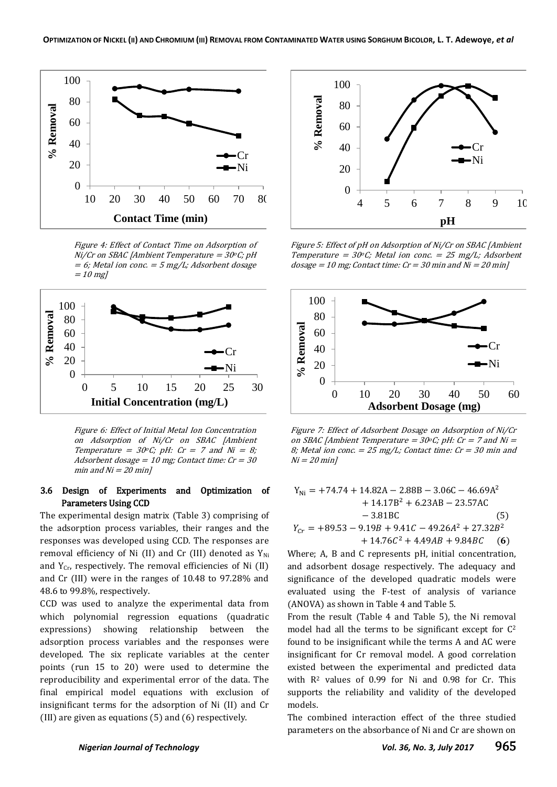

Figure 4: Effect of Contact Time on Adsorption of  $Ni/Cr$  on SBAC [Ambient Temperature =  $30^{\circ}$ C; pH  $= 6$ ; Metal ion conc.  $= 5$  mg/L; Adsorbent dosage  $= 10$  mg]



Figure 6: Effect of Initial Metal Ion Concentration on Adsorption of Ni/Cr on SBAC [Ambient Temperature =  $30^{\circ}$ C; pH: Cr = 7 and Ni = 8; Adsorbent dosage =  $10$  mg; Contact time:  $Cr = 30$ min and  $Ni = 20$  min]

## 3.6 Design of Experiments and Optimization of Parameters Using CCD

The experimental design matrix (Table 3) comprising of the adsorption process variables, their ranges and the responses was developed using CCD. The responses are removal efficiency of Ni (II) and Cr (III) denoted as  $Y_{\text{Ni}}$ and  $Y_{Cr}$ , respectively. The removal efficiencies of Ni (II) and Cr (III) were in the ranges of 10.48 to 97.28% and 48.6 to 99.8%, respectively.

CCD was used to analyze the experimental data from which polynomial regression equations (quadratic expressions) showing relationship between the adsorption process variables and the responses were developed. The six replicate variables at the center points (run 15 to 20) were used to determine the reproducibility and experimental error of the data. The final empirical model equations with exclusion of insignificant terms for the adsorption of Ni (II) and Cr (III) are given as equations (5) and (6) respectively.



Figure 5: Effect of pH on Adsorption of Ni/Cr on SBAC [Ambient Temperature =  $30^{\circ}$ C; Metal ion conc. = 25 mg/L; Adsorbent  $dosage = 10$  mg; Contact time:  $Cr = 30$  min and  $Ni = 20$  min]



Figure 7: Effect of Adsorbent Dosage on Adsorption of Ni/Cr on SBAC [Ambient Temperature =  $30^{\circ}$ C; pH: Cr = 7 and Ni = 8; Metal ion conc.  $= 25$  mg/L; Contact time: Cr = 30 min and  $Ni = 20$  min]

$$
Y_{Ni} = +74.74 + 14.82A - 2.88B - 3.06C - 46.69A2
$$
  
+ 14.17B<sup>2</sup> + 6.23AB - 23.57AC  
- 3.81BC (5)  

$$
Y_{Cr} = +89.53 - 9.19B + 9.41C - 49.26A2 + 27.32B2
$$

 $+ 14.76C^2$  $(6)$ 

Where; A, B and C represents pH, initial concentration, and adsorbent dosage respectively. The adequacy and significance of the developed quadratic models were evaluated using the F-test of analysis of variance (ANOVA) as shown in Table 4 and Table 5.

From the result (Table 4 and Table 5), the Ni removal model had all the terms to be significant except for  $C^2$ found to be insignificant while the terms A and AC were insignificant for Cr removal model. A good correlation existed between the experimental and predicted data with R<sup>2</sup> values of 0.99 for Ni and 0.98 for Cr. This supports the reliability and validity of the developed models.

The combined interaction effect of the three studied parameters on the absorbance of Ni and Cr are shown on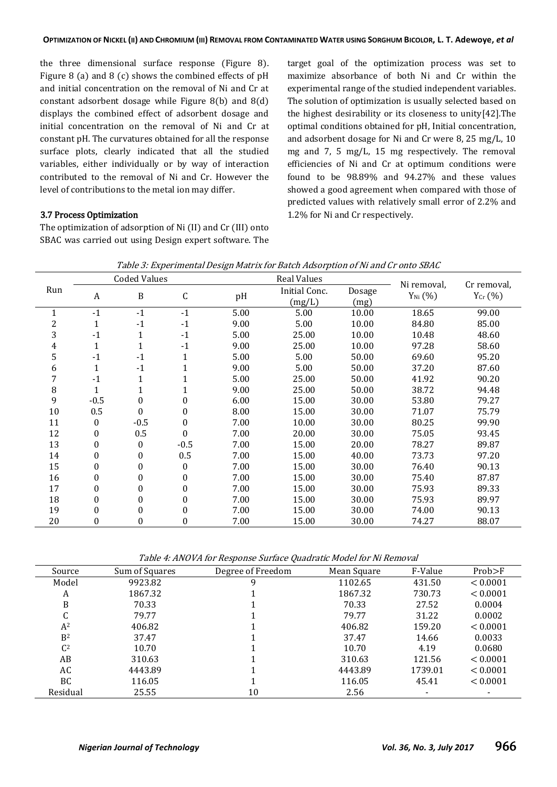the three dimensional surface response (Figure 8). Figure 8 (a) and 8 (c) shows the combined effects of pH and initial concentration on the removal of Ni and Cr at constant adsorbent dosage while Figure 8(b) and 8(d) displays the combined effect of adsorbent dosage and initial concentration on the removal of Ni and Cr at constant pH. The curvatures obtained for all the response surface plots, clearly indicated that all the studied variables, either individually or by way of interaction contributed to the removal of Ni and Cr. However the level of contributions to the metal ion may differ.

#### 3.7 Process Optimization

The optimization of adsorption of Ni (II) and Cr (III) onto SBAC was carried out using Design expert software. The

target goal of the optimization process was set to maximize absorbance of both Ni and Cr within the experimental range of the studied independent variables. The solution of optimization is usually selected based on the highest desirability or its closeness to unity[42].The optimal conditions obtained for pH, Initial concentration, and adsorbent dosage for Ni and Cr were 8, 25 mg/L, 10 mg and 7, 5 mg/L, 15 mg respectively. The removal efficiencies of Ni and Cr at optimum conditions were found to be 98.89% and 94.27% and these values showed a good agreement when compared with those of predicted values with relatively small error of 2.2% and 1.2% for Ni and Cr respectively.

| Table 3: Experimental Design Matrix for Batch Adsorption of Ni and Cr onto SBAC |  |
|---------------------------------------------------------------------------------|--|
|                                                                                 |  |

|                |                  | <b>Coded Values</b> |          | <b>Real Values</b> |               |        | Ni removal,         |                             |
|----------------|------------------|---------------------|----------|--------------------|---------------|--------|---------------------|-----------------------------|
| Run            | A                | $\, {\bf B}$        | C        | pH                 | Initial Conc. | Dosage | $Y_{\text{Ni}}(\%)$ | Cr removal,<br>$Y_{Cr}$ (%) |
|                |                  |                     |          |                    | (mg/L)        | (mg)   |                     |                             |
| $\mathbf{1}$   | $-1$             | $-1$                | $-1$     | 5.00               | 5.00          | 10.00  | 18.65               | 99.00                       |
| $\overline{c}$ | $\mathbf{1}$     | $-1$                | $-1$     | 9.00               | 5.00          | 10.00  | 84.80               | 85.00                       |
| 3              | $-1$             | $\mathbf{1}$        | $-1$     | 5.00               | 25.00         | 10.00  | 10.48               | 48.60                       |
| 4              | 1                | $\mathbf{1}$        | $-1$     | 9.00               | 25.00         | 10.00  | 97.28               | 58.60                       |
| 5              | $-1$             | $-1$                | 1        | 5.00               | 5.00          | 50.00  | 69.60               | 95.20                       |
| 6              | 1                | $-1$                |          | 9.00               | 5.00          | 50.00  | 37.20               | 87.60                       |
| 7              | $-1$             | $\mathbf{1}$        |          | 5.00               | 25.00         | 50.00  | 41.92               | 90.20                       |
| $\, 8$         | 1                | $\mathbf{1}$        |          | 9.00               | 25.00         | 50.00  | 38.72               | 94.48                       |
| 9              | $-0.5$           | 0                   | 0        | 6.00               | 15.00         | 30.00  | 53.80               | 79.27                       |
| 10             | 0.5              | $\theta$            | 0        | 8.00               | 15.00         | 30.00  | 71.07               | 75.79                       |
| 11             | $\mathbf{0}$     | $-0.5$              | 0        | 7.00               | 10.00         | 30.00  | 80.25               | 99.90                       |
| 12             | $\Omega$         | 0.5                 | $\theta$ | 7.00               | 20.00         | 30.00  | 75.05               | 93.45                       |
| 13             | $\theta$         | 0                   | $-0.5$   | 7.00               | 15.00         | 20.00  | 78.27               | 89.87                       |
| 14             | $\mathbf{0}$     | 0                   | 0.5      | 7.00               | 15.00         | 40.00  | 73.73               | 97.20                       |
| 15             | $\boldsymbol{0}$ | 0                   | $\Omega$ | 7.00               | 15.00         | 30.00  | 76.40               | 90.13                       |
| 16             | 0                | 0                   | 0        | 7.00               | 15.00         | 30.00  | 75.40               | 87.87                       |
| 17             | $\Omega$         | $\boldsymbol{0}$    | 0        | 7.00               | 15.00         | 30.00  | 75.93               | 89.33                       |
| 18             | $\boldsymbol{0}$ | 0                   | 0        | 7.00               | 15.00         | 30.00  | 75.93               | 89.97                       |
| 19             | $\theta$         | 0                   | 0        | 7.00               | 15.00         | 30.00  | 74.00               | 90.13                       |
| 20             | $\boldsymbol{0}$ | 0                   | 0        | 7.00               | 15.00         | 30.00  | 74.27               | 88.07                       |

Table 4: ANOVA for Response Surface Quadratic Model for Ni Removal

| Source         | Sum of Squares | Degree of Freedom | Mean Square | F-Value | Prob>F   |
|----------------|----------------|-------------------|-------------|---------|----------|
| Model          | 9923.82        | q                 | 1102.65     | 431.50  | < 0.0001 |
| A              | 1867.32        |                   | 1867.32     | 730.73  | < 0.0001 |
| B              | 70.33          |                   | 70.33       | 27.52   | 0.0004   |
| C              | 79.77          |                   | 79.77       | 31.22   | 0.0002   |
| $A^2$          | 406.82         |                   | 406.82      | 159.20  | < 0.0001 |
| B <sup>2</sup> | 37.47          |                   | 37.47       | 14.66   | 0.0033   |
| C <sup>2</sup> | 10.70          |                   | 10.70       | 4.19    | 0.0680   |
| AB             | 310.63         |                   | 310.63      | 121.56  | < 0.0001 |
| AC             | 4443.89        |                   | 4443.89     | 1739.01 | < 0.0001 |
| <b>BC</b>      | 116.05         |                   | 116.05      | 45.41   | < 0.0001 |
| Residual       | 25.55          | 10                | 2.56        |         |          |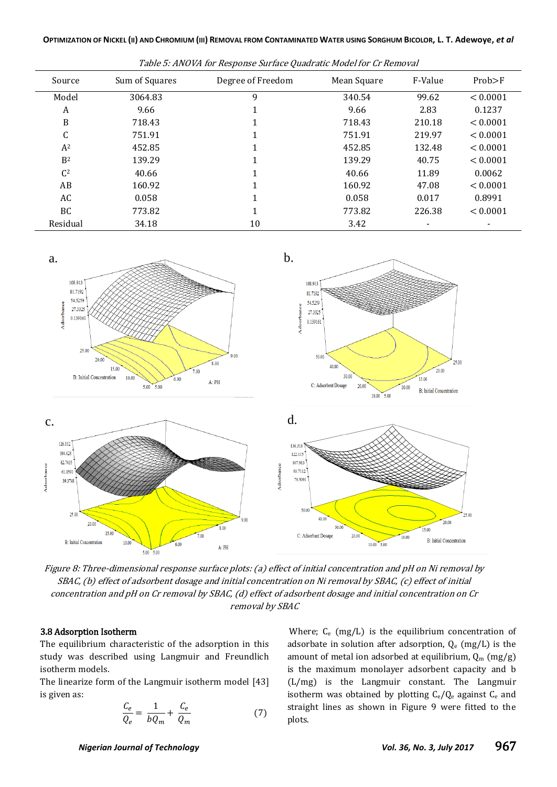| Source         | Sum of Squares | Degree of Freedom | Mean Square | F-Value                  | Prob>F   |  |  |
|----------------|----------------|-------------------|-------------|--------------------------|----------|--|--|
| Model          | 3064.83        | 9                 | 340.54      | 99.62                    | < 0.0001 |  |  |
| A              | 9.66           |                   | 9.66        | 2.83                     | 0.1237   |  |  |
| B              | 718.43         |                   | 718.43      | 210.18                   | < 0.0001 |  |  |
| C              | 751.91         |                   | 751.91      | 219.97                   | < 0.0001 |  |  |
| $A^2$          | 452.85         |                   | 452.85      | 132.48                   | < 0.0001 |  |  |
| B <sup>2</sup> | 139.29         |                   | 139.29      | 40.75                    | < 0.0001 |  |  |
| C <sup>2</sup> | 40.66          |                   | 40.66       | 11.89                    | 0.0062   |  |  |
| AB             | 160.92         |                   | 160.92      | 47.08                    | < 0.0001 |  |  |
| AC             | 0.058          |                   | 0.058       | 0.017                    | 0.8991   |  |  |
| BC.            | 773.82         | 1                 | 773.82      | 226.38                   | < 0.0001 |  |  |
| Residual       | 34.18          | 10                | 3.42        | $\overline{\phantom{a}}$ |          |  |  |

Table 5: ANOVA for Response Surface Quadratic Model for Cr Removal



Figure 8: Three-dimensional response surface plots: (a) effect of initial concentration and pH on Ni removal by SBAC, (b) effect of adsorbent dosage and initial concentration on Ni removal by SBAC, (c) effect of initial concentration and pH on Cr removal by SBAC, (d) effect of adsorbent dosage and initial concentration on Cr removal by SBAC

#### 3.8 Adsorption Isotherm

The equilibrium characteristic of the adsorption in this study was described using Langmuir and Freundlich isotherm models.

The linearize form of the Langmuir isotherm model [43] is given as:

$$
\frac{C_e}{Q_e} = \frac{1}{bQ_m} + \frac{C_e}{Q_m} \tag{7}
$$

Where; C<sub>e</sub> (mg/L) is the equilibrium concentration of adsorbate in solution after adsorption,  $Q_e$  (mg/L) is the amount of metal ion adsorbed at equilibrium,  $Q_m$  (mg/g) is the maximum monolayer adsorbent capacity and b (L/mg) is the Langmuir constant. The Langmuir isotherm was obtained by plotting  $C_e/Q_e$  against  $C_e$  and straight lines as shown in Figure 9 were fitted to the plots.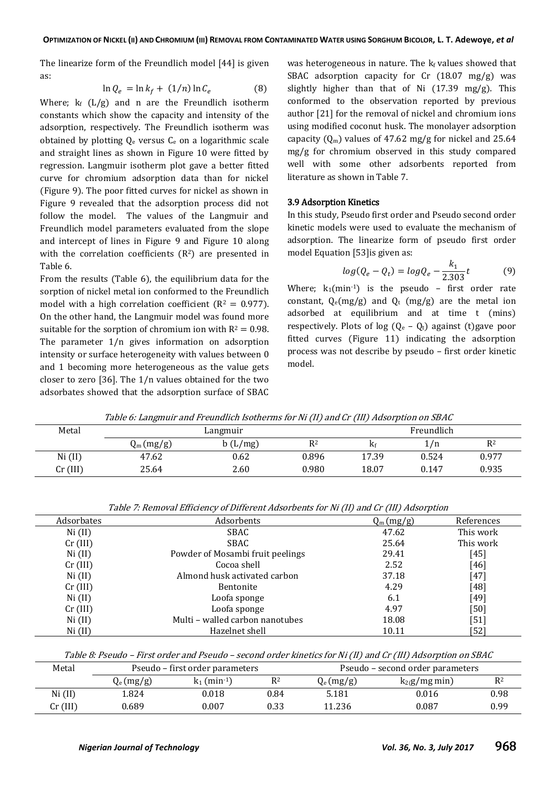The linearize form of the Freundlich model [44] is given as:

$$
\ln Q_e = \ln k_f + (1/n) \ln C_e \tag{8}
$$

Where;  $k_f$  (L/g) and n are the Freundlich isotherm constants which show the capacity and intensity of the adsorption, respectively. The Freundlich isotherm was obtained by plotting  $Q_e$  versus  $C_e$  on a logarithmic scale and straight lines as shown in Figure 10 were fitted by regression. Langmuir isotherm plot gave a better fitted curve for chromium adsorption data than for nickel (Figure 9). The poor fitted curves for nickel as shown in Figure 9 revealed that the adsorption process did not follow the model. The values of the Langmuir and Freundlich model parameters evaluated from the slope and intercept of lines in Figure 9 and Figure 10 along with the correlation coefficients  $(R<sup>2</sup>)$  are presented in Table 6.

From the results (Table 6), the equilibrium data for the sorption of nickel metal ion conformed to the Freundlich model with a high correlation coefficient ( $R^2 = 0.977$ ). On the other hand, the Langmuir model was found more suitable for the sorption of chromium ion with  $R^2 = 0.98$ . The parameter 1/n gives information on adsorption intensity or surface heterogeneity with values between 0 and 1 becoming more heterogeneous as the value gets closer to zero [36]. The 1/n values obtained for the two adsorbates showed that the adsorption surface of SBAC

was heterogeneous in nature. The  $k_f$  values showed that SBAC adsorption capacity for Cr (18.07 mg/g) was slightly higher than that of Ni  $(17.39 \text{ mg/g})$ . This conformed to the observation reported by previous author [21] for the removal of nickel and chromium ions using modified coconut husk. The monolayer adsorption capacity  $(Q_m)$  values of 47.62 mg/g for nickel and 25.64 mg/g for chromium observed in this study compared well with some other adsorbents reported from literature as shown in Table 7.

#### 3.9 Adsorption Kinetics

In this study, Pseudo first order and Pseudo second order kinetic models were used to evaluate the mechanism of adsorption. The linearize form of pseudo first order model Equation [53]is given as:

$$
log(Q_e - Q_t) = logQ_e - \frac{k_1}{2.303}t
$$
\n(9)

Where;  $k_1$ (min<sup>-1</sup>) is the pseudo - first order rate constant,  $Q_e(mg/g)$  and  $Q_t$  (mg/g) are the metal ion adsorbed at equilibrium and at time t (mins) respectively. Plots of log  $(Q_e - Q_t)$  against (t) gave poor fitted curves (Figure 11) indicating the adsorption process was not describe by pseudo – first order kinetic model.

| Table 6: Langmuir and Freundlich Isotherms for Ni (II) and Cr (III) Adsorption on SBAC |             |          |       |             |            |       |  |
|----------------------------------------------------------------------------------------|-------------|----------|-------|-------------|------------|-------|--|
| Metal                                                                                  |             | Langmuir |       |             | Freundlich |       |  |
|                                                                                        | $Q_m(mg/g)$ | b(L/mg)  | R2    | $K_{\rm f}$ | 1/n        | $R^2$ |  |
| Ni (II)                                                                                | 47.62       | 0.62     | 0.896 | 17.39       | 0.524      | 0.977 |  |
| $Cr$ (III)                                                                             | 25.64       | 2.60     | 0.980 | 18.07       | 0.147      | 0.935 |  |

|            |                                  | $\sim$<br>$\overline{\phantom{a}}$ |            |
|------------|----------------------------------|------------------------------------|------------|
| Adsorbates | Adsorbents                       | $Q_m(mg/g)$                        | References |
| Ni (II)    | SBAC                             | 47.62                              | This work  |
| $Cr$ (III) | SBAC                             | 25.64                              | This work  |
| Ni (II)    | Powder of Mosambi fruit peelings | 29.41                              | $[45]$     |
| $Cr$ (III) | Cocoa shell                      | 2.52                               | $[46]$     |
| Ni (II)    | Almond husk activated carbon     | 37.18                              | $[47]$     |
| $Cr$ (III) | Bentonite                        | 4.29                               | [48]       |
| Ni (II)    | Loofa sponge                     | 6.1                                | $[49]$     |
| $Cr$ (III) | Loofa sponge                     | 4.97                               | $[50]$     |
| Ni (II)    | Multi - walled carbon nanotubes  | 18.08                              | [51]       |
| Ni (II)    | Hazelnet shell                   | 10.11                              | [52]       |
|            |                                  |                                    |            |

Table 7: Removal Efficiency of Different Adsorbents for Ni (II) and Cr (III) Adsorption

Table 8: Pseudo – First order and Pseudo – second order kinetics for Ni (II) and Cr (III) Adsorption on SBAC

| Metal      |             | Pseudo – first order parameters |      | Pseudo – second order parameters |                  |                |
|------------|-------------|---------------------------------|------|----------------------------------|------------------|----------------|
|            | $Q_e(mg/g)$ | $k_1$ (min-1)                   | R2   | $Q_e(mg/g)$                      | $k_2(g/mg \min)$ | R <sup>2</sup> |
| Ni (II)    | 1.824       | 0.018                           | 0.84 | 5.181                            | 0.016            | 0.98           |
| $Cr$ (III) | 0.689       | 0.007                           | 0.33 | 11.236                           | 0.087            | 0.99           |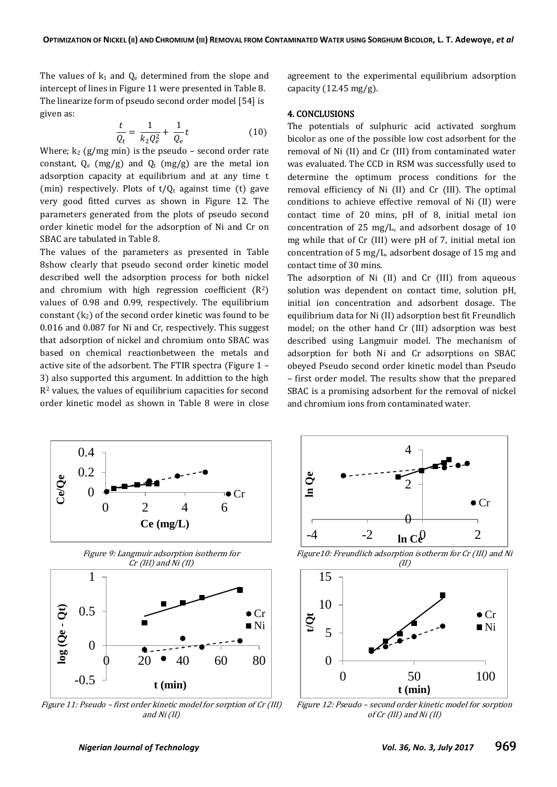The values of  $k_1$  and  $Q_e$  determined from the slope and intercept of lines in Figure 11 were presented in Table 8. The linearize form of pseudo second order model [54] is given as:

$$
\frac{t}{Q_t} = \frac{1}{k_2 Q_e^2} + \frac{1}{Q_e} t \tag{10}
$$

Where;  $k_2$  (g/mg min) is the pseudo – second order rate constant,  $Q_e$  (mg/g) and  $Q_t$  (mg/g) are the metal ion adsorption capacity at equilibrium and at any time t (min) respectively. Plots of  $t/Q_t$  against time (t) gave very good fitted curves as shown in Figure 12. The parameters generated from the plots of pseudo second order kinetic model for the adsorption of Ni and Cr on SBAC are tabulated in Table 8.

The values of the parameters as presented in Table 8show clearly that pseudo second order kinetic model described well the adsorption process for both nickel and chromium with high regression coefficient  $(R<sup>2</sup>)$ values of 0.98 and 0.99, respectively. The equilibrium constant  $(k_2)$  of the second order kinetic was found to be 0.016 and 0.087 for Ni and Cr, respectively. This suggest that adsorption of nickel and chromium onto SBAC was based on chemical reactionbetween the metals and active site of the adsorbent. The FTIR spectra (Figure 1 – 3) also supported this argument. In addittion to the high R<sup>2</sup> values, the values of equilibrium capacities for second order kinetic model as shown in Table 8 were in close agreement to the experimental equilibrium adsorption capacity (12.45 mg/g).

#### 4. CONCLUSIONS

The potentials of sulphuric acid activated sorghum bicolor as one of the possible low cost adsorbent for the removal of Ni (II) and Cr (III) from contaminated water was evaluated. The CCD in RSM was successfully used to determine the optimum process conditions for the removal efficiency of Ni (II) and Cr (III). The optimal conditions to achieve effective removal of Ni (II) were contact time of 20 mins, pH of 8, initial metal ion concentration of 25 mg/L, and adsorbent dosage of 10 mg while that of Cr (III) were pH of 7, initial metal ion concentration of 5 mg/L, adsorbent dosage of 15 mg and contact time of 30 mins.

The adsorption of Ni (II) and Cr (III) from aqueous solution was dependent on contact time, solution pH, initial ion concentration and adsorbent dosage. The equilibrium data for Ni (II) adsorption best fit Freundlich model; on the other hand Cr (III) adsorption was best described using Langmuir model. The mechanism of adsorption for both Ni and Cr adsorptions on SBAC obeyed Pseudo second order kinetic model than Pseudo – first order model. The results show that the prepared SBAC is a promising adsorbent for the removal of nickel and chromium ions from contaminated water.



Figure 11: Pseudo – first order kinetic model for sorption of Cr (III) and Ni (II)



Figure10: Freundlich adsorption isotherm for Cr (III) and Ni



Figure 12: Pseudo – second order kinetic model for sorption of Cr (III) and Ni (II)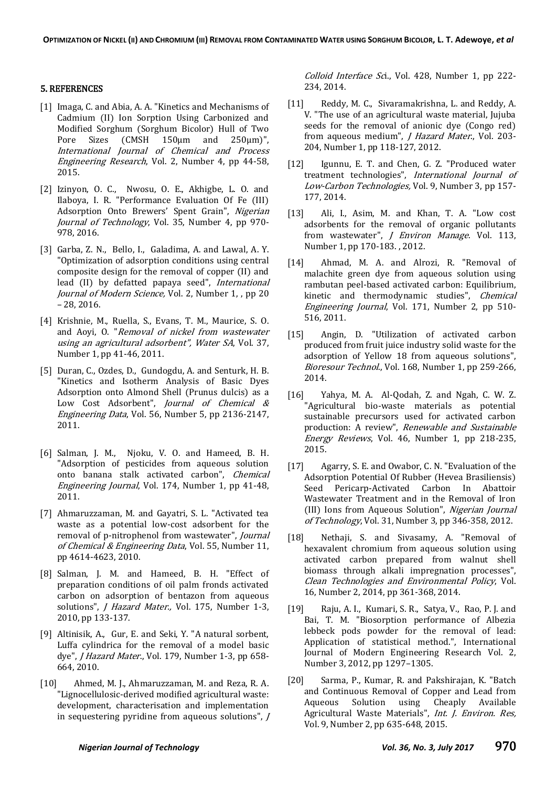#### 5. REFERENCES

- [1] Imaga, C. and Abia, A. A. "Kinetics and Mechanisms of Cadmium (II) Ion Sorption Using Carbonized and Modified Sorghum (Sorghum Bicolor) Hull of Two Pore Sizes (CMSH 150µm and 250µm)", International Journal of Chemical and Process Engineering Research, Vol. 2, Number 4, pp 44-58, 2015.
- [2] Izinyon, O. C., Nwosu, O. E., Akhigbe, L. O. and Ilaboya, I. R. "Performance Evaluation Of Fe (III) Adsorption Onto Brewers' Spent Grain", Nigerian Journal of Technology, Vol. 35, Number 4, pp 970- 978, 2016.
- [3] Garba, Z. N., Bello, I., Galadima, A. and Lawal, A. Y. "Optimization of adsorption conditions using central composite design for the removal of copper (II) and lead (II) by defatted papaya seed", International Journal of Modern Science, Vol. 2, Number 1, , pp 20 – 28, 2016.
- [4] Krishnie, M., Ruella, S., Evans, T. M., Maurice, S. O. and Aoyi, O. "Removal of nickel from wastewater using an agricultural adsorbent", Water SA, Vol. 37, Number 1, pp 41-46, 2011.
- [5] Duran, C., Ozdes, D., Gundogdu, A. and Senturk, H. B. "Kinetics and Isotherm Analysis of Basic Dyes Adsorption onto Almond Shell (Prunus dulcis) as a Low Cost Adsorbent", Journal of Chemical & Engineering Data, Vol. 56, Number 5, pp 2136-2147, 2011.
- [6] Salman, J. M., Njoku, V. O. and Hameed, B. H. "Adsorption of pesticides from aqueous solution onto banana stalk activated carbon", Chemical Engineering Journal, Vol. 174, Number 1, pp 41-48, 2011.
- [7] Ahmaruzzaman, M. and Gayatri, S. L. "Activated tea waste as a potential low-cost adsorbent for the removal of p-nitrophenol from wastewater", Journal of Chemical & Engineering Data, Vol. 55, Number 11, pp 4614-4623, 2010.
- [8] Salman, J. M. and Hameed, B. H. "Effect of preparation conditions of oil palm fronds activated carbon on adsorption of bentazon from aqueous solutions", *J Hazard Mater., Vol. 175*, Number 1-3, 2010, pp 133-137.
- [9] Altinisik, A., Gur, E. and Seki, Y. "A natural sorbent, Luffa cylindrica for the removal of a model basic dye", *J Hazard Mater.*, Vol. 179, Number 1-3, pp 658-664, 2010.
- [10] Ahmed, M. J., Ahmaruzzaman, M. and Reza, R. A. "Lignocellulosic-derived modified agricultural waste: development, characterisation and implementation in sequestering pyridine from aqueous solutions", J

Colloid Interface Sci., Vol. 428, Number 1, pp 222-234, 2014.

- [11] Reddy, M. C., Sivaramakrishna, L. and Reddy, A. V. "The use of an agricultural waste material, Jujuba seeds for the removal of anionic dye (Congo red) from aqueous medium", *J Hazard Mater.*, Vol. 203-204, Number 1, pp 118-127, 2012.
- [12] Igunnu, E. T. and Chen, G. Z. "Produced water treatment technologies", International Journal of Low-Carbon Technologies, Vol. 9, Number 3, pp 157- 177, 2014.
- [13] Ali, I., Asim, M. and Khan, T. A. "Low cost adsorbents for the removal of organic pollutants from wastewater", *J Environ Manage*. Vol. 113, Number 1, pp 170-183. , 2012.
- [14] Ahmad, M. A. and Alrozi, R. "Removal of malachite green dye from aqueous solution using rambutan peel-based activated carbon: Equilibrium, kinetic and thermodynamic studies", Chemical Engineering Journal, Vol. 171, Number 2, pp 510- 516, 2011.
- [15] Angin, D. "Utilization of activated carbon produced from fruit juice industry solid waste for the adsorption of Yellow 18 from aqueous solutions", Bioresour Technol., Vol. 168, Number 1, pp 259-266, 2014.
- [16] Yahya, M. A. Al-Qodah, Z. and Ngah, C. W. Z. "Agricultural bio-waste materials as potential sustainable precursors used for activated carbon production: A review", Renewable and Sustainable Energy Reviews, Vol. 46, Number 1, pp 218-235, 2015.
- [17] Agarry, S. E. and Owabor, C. N. "Evaluation of the Adsorption Potential Of Rubber (Hevea Brasiliensis) Seed Pericarp-Activated Carbon In Abattoir Wastewater Treatment and in the Removal of Iron (III) Ions from Aqueous Solution", Nigerian Journal of Technology, Vol. 31, Number 3, pp 346-358, 2012.
- [18] Nethaji, S. and Sivasamy, A. "Removal of hexavalent chromium from aqueous solution using activated carbon prepared from walnut shell biomass through alkali impregnation processes", Clean Technologies and Environmental Policy, Vol. 16, Number 2, 2014, pp 361-368, 2014.
- [19] Raju, A. I., Kumari, S. R., Satya, V., Rao, P. J. and Bai, T. M. "Biosorption performance of Albezia lebbeck pods powder for the removal of lead: Application of statistical method.", International Journal of Modern Engineering Research Vol. 2, Number 3, 2012, pp 1297–1305.
- [20] Sarma, P., Kumar, R. and Pakshirajan, K. "Batch and Continuous Removal of Copper and Lead from Aqueous Solution using Cheaply Available Agricultural Waste Materials", Int. J. Environ. Res, Vol. 9, Number 2, pp 635-648, 2015.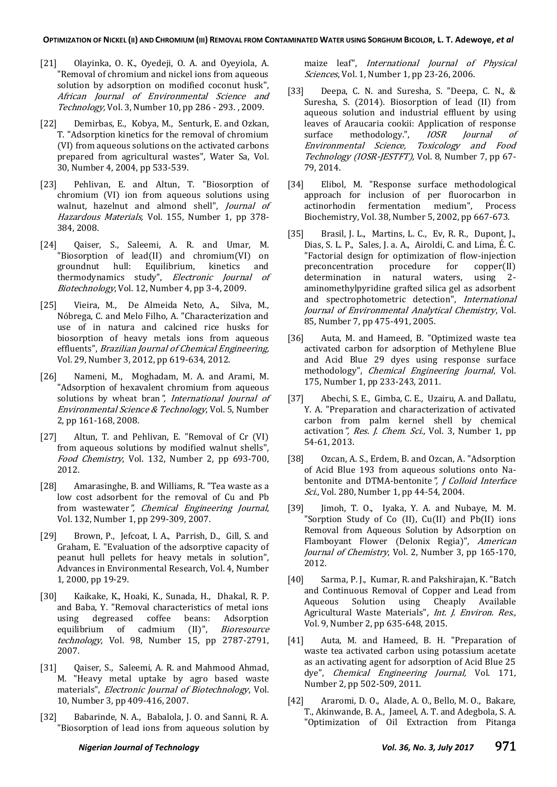- [21] Olayinka, O. K., Oyedeji, O. A. and Oyeyiola, A. "Removal of chromium and nickel ions from aqueous solution by adsorption on modified coconut husk", African Journal of Environmental Science and Technology, Vol. 3, Number 10, pp 286 - 293. , 2009.
- [22] Demirbas, E., Kobya, M., Senturk, E. and Ozkan, T. "Adsorption kinetics for the removal of chromium (VI) from aqueous solutions on the activated carbons prepared from agricultural wastes", Water Sa, Vol. 30, Number 4, 2004, pp 533-539.
- [23] Pehlivan, E. and Altun, T. "Biosorption of chromium (VI) ion from aqueous solutions using walnut, hazelnut and almond shell", Journal of Hazardous Materials, Vol. 155, Number 1, pp 378- 384, 2008.
- [24] Qaiser, S., Saleemi, A. R. and Umar, M. "Biosorption of lead(II) and chromium(VI) on groundnut hull: Equilibrium, kinetics and thermodynamics study", Electronic Journal of Biotechnology, Vol. 12, Number 4, pp 3-4, 2009.
- [25] Vieira, M., De Almeida Neto, A., Silva, M., Nóbrega, C. and Melo Filho, A. "Characterization and use of in natura and calcined rice husks for biosorption of heavy metals ions from aqueous effluents", Brazilian Journal of Chemical Engineering, Vol. 29, Number 3, 2012, pp 619-634, 2012.
- [26] Nameni, M., Moghadam, M. A. and Arami, M. "Adsorption of hexavalent chromium from aqueous solutions by wheat bran", International Journal of Environmental Science & Technology, Vol. 5, Number 2, pp 161-168, 2008.
- [27] Altun, T. and Pehlivan, E. "Removal of Cr (VI) from aqueous solutions by modified walnut shells", Food Chemistry, Vol. 132, Number 2, pp 693-700, 2012.
- [28] Amarasinghe, B. and Williams, R. "Tea waste as a low cost adsorbent for the removal of Cu and Pb from wastewater", Chemical Engineering Journal, Vol. 132, Number 1, pp 299-309, 2007.
- [29] Brown, P., Jefcoat, I. A., Parrish, D., Gill, S. and Graham, E. "Evaluation of the adsorptive capacity of peanut hull pellets for heavy metals in solution", Advances in Environmental Research, Vol. 4, Number 1, 2000, pp 19-29.
- [30] Kaikake, K., Hoaki, K., Sunada, H., Dhakal, R. P. and Baba, Y. "Removal characteristics of metal ions using degreased coffee beans: Adsorption equilibrium of cadmium (II)", *Bioresource* technology, Vol. 98, Number 15, pp 2787-2791, 2007.
- [31] Qaiser, S., Saleemi, A. R. and Mahmood Ahmad, M. "Heavy metal uptake by agro based waste materials", Electronic Journal of Biotechnology, Vol. 10, Number 3, pp 409-416, 2007.
- [32] Babarinde, N. A., Babalola, J. O. and Sanni, R. A. "Biosorption of lead ions from aqueous solution by

maize leaf", International Journal of Physical Sciences, Vol. 1, Number 1, pp 23-26, 2006.

- [33] Deepa, C. N. and Suresha, S. "Deepa, C. N., & Suresha, S. (2014). Biosorption of lead (II) from aqueous solution and industrial effluent by using leaves of Araucaria cookii: Application of response surface methodology.", IOSR Journal of Environmental Science, Toxicology and Food Technology (IOSR-JESTFT), Vol. 8, Number 7, pp 67- 79, 2014.
- [34] Elibol, M. "Response surface methodological approach for inclusion of per fluorocarbon in actinorhodin fermentation medium", Process Biochemistry, Vol. 38, Number 5, 2002, pp 667-673.
- [35] Brasil, J. L., Martins, L. C., Ev, R. R., Dupont, J., Dias, S. L. P., Sales, J. a. A., Airoldi, C. and Lima, É. C. "Factorial design for optimization of flow-injection preconcentration procedure for copper(II) determination in natural waters, using 2 aminomethylpyridine grafted silica gel as adsorbent and spectrophotometric detection", International Journal of Environmental Analytical Chemistry, Vol. 85, Number 7, pp 475-491, 2005.
- [36] Auta, M. and Hameed, B. "Optimized waste tea activated carbon for adsorption of Methylene Blue and Acid Blue 29 dyes using response surface methodology", Chemical Engineering Journal, Vol. 175, Number 1, pp 233-243, 2011.
- [37] Abechi, S. E., Gimba, C. E., Uzairu, A. and Dallatu, Y. A. "Preparation and characterization of activated carbon from palm kernel shell by chemical activation", Res. J. Chem. Sci., Vol. 3, Number 1, pp 54-61, 2013.
- [38] Ozcan, A. S., Erdem, B. and Ozcan, A. "Adsorption of Acid Blue 193 from aqueous solutions onto Nabentonite and DTMA-bentonite", J Colloid Interface Sci., Vol. 280, Number 1, pp 44-54, 2004.
- [39] Jimoh, T. O., Iyaka, Y. A. and Nubaye, M. M. "Sorption Study of Co (II), Cu(II) and Pb(II) ions Removal from Aqueous Solution by Adsorption on Flamboyant Flower (Delonix Regia)", American Journal of Chemistry, Vol. 2, Number 3, pp 165-170, 2012.
- [40] Sarma, P. J., Kumar, R. and Pakshirajan, K. "Batch and Continuous Removal of Copper and Lead from Aqueous Solution using Cheaply Available Agricultural Waste Materials", Int. J. Environ. Res., Vol. 9, Number 2, pp 635-648, 2015.
- [41] Auta, M. and Hameed, B. H. "Preparation of waste tea activated carbon using potassium acetate as an activating agent for adsorption of Acid Blue 25 dye", Chemical Engineering Journal, Vol. 171, Number 2, pp 502-509, 2011.
- [42] Araromi, D. O., Alade, A. O., Bello, M. O., Bakare, T., Akinwande, B. A., Jameel, A. T. and Adegbola, S. A. "Optimization of Oil Extraction from Pitanga